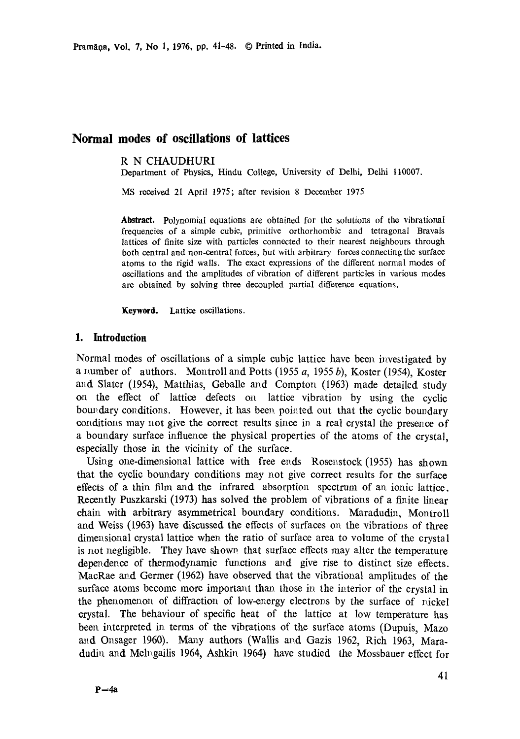# **Normal modes of oscillations of lattices**

### R N CHAUDHURI

Department of Physics, Hindu College, University of Delhi, Delhi 110007.

MS received 21 April 1975; after revision 8 December 1975

**Abstract.** Polynomial equations are obtained for the solutions of the vibrational frequencies of a simple cubic, primitive orthorhombic and tetragonal Bravais lattices of finite size with particles connected to their nearest neighbours through both central and non-central forces, but with arbitrary forces connecting the surface atoms to the rigid walls. The exact expressions of the different normal modes of oscillations and the amplitudes of vibration of different particles in various modes are obtained by solving three decoupled partial difference equations.

Keyword. Lattice oscillations.

## **1. Introduction**

Normal modes of oscillations of a simple cubic lattice have been investigated by a number of authors. Montroll and Potts (1955 *a*, 1955 *b*), Koster (1954), Koster and Slater (1954), Matthias, Geballe and Compton (1963) made detailed study on the effect of lattice defects on lattice vibration by using the cyclic boundary conditions. However, it has been pointed out that the cyclic boundary. conditions may not give the correct results since in a real crystal the presence of a boundary surface influence the physical properties of the atoms of the crystal, especially those in the vicinity of the surface.

Using one-dimensional lattice with free ends Rosenstock (1955) has shown that the cyclic boundary conditions may not give correct results for the surface effects of a thin film and the infrared absorption spectrum of an ionic lattice. Recently Puszkarski (1973) has solved the problem of vibrations of a finite linear chain with arbitrary asymmetrical boundary conditions. Maradudin, Montroll and Weiss (1963) have discussed the effects of surfaces on the vibrations of three dimensional crystal lattice when the ratio of surface area to volume of the crystal is not negligible. They have shown that surface effects may alter the temperature dependence of thermodynamic functions and give rise to distinct size effects. MacRae and Germer (1962) have observed that the vibrational amplitudes of the surface atoms become more important than those in the interior of the crystal in the phenomenon of diffraction of low-energy electrons by the surface of nickel crystal. The behaviour of specific heat of the lattice at low temperature has been interpreted in terms of the vibrations of the surface atoms (Dupuis, Mazo and Onsager 1960). Many authors (Wallis and Gazis 1962, Rich 1963, Maradudin and Mehogailis 1964, Ashkin 1964) have studied the Mossbauer effect for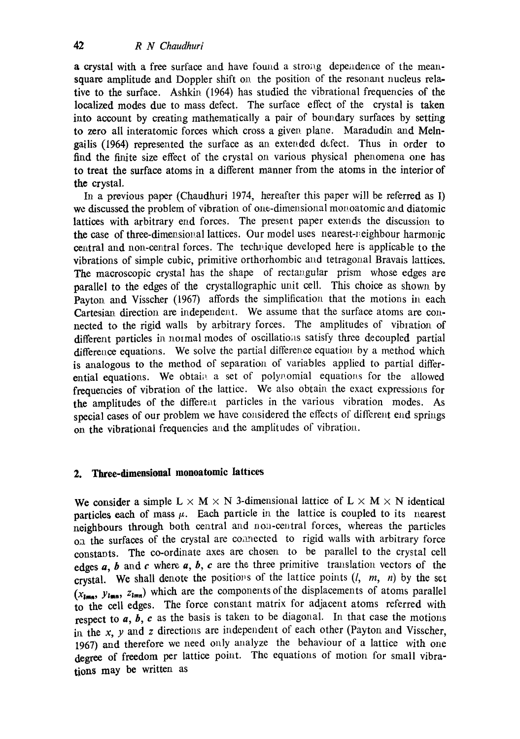a crystal with a free surface and have found a strong dependence of the meansquare amplitude and Doppler shift on the position of the resonant nucleus relative to the surface. Ashkin (1964) has studied the vibrational frequencies of **the**  localized modes due to mass defect. The surface effect of the crystal is taken into account by creating mathematically a pair of boundary surfaces by setting to zero all interatomic forces which cross a given, plane. Maradudin and Melngailis (1964) represented the surface as an extended defect. Thus in order to find the finite size effect of the crystal on various physical phenomena one has to **treat the** surface atoms in a different manner from the atoms in the interior of **the** crystal.

In a previous paper (Chaudhuri 1974, hereafter this paper will be referred as I) we discussed the problem of vibration of one-dimensional monoatomic and diatomic lattices with arbitrary end forces. The present paper extends the discussion to the case of three-dimensional lattices. Our model uses nearest-neighbour harmonic central and non-central forces. The technique developed here is applicable to the vibrations of simple cubic, primitive orthorhombic and tetragonal Bravais lattices. The macroscopic crystal has the shape of rectangular prism whose edges are parallel to the edges of the crystallographic unit cell. This choice as shown by Payton and Visscher (1967) affords the simplification that the motions in each Cartesian direction are independent. We assume that the surface atoms are connected to the rigid walls by arbitrary forces. The amplitudes of vibration of different particles in normal modes of oscillations satisfy three decoupled partial difference equations. We solve the partial difference equation by a method which is analogous to the method of separation of variables applied to partial differential equations. We obtain a set of polynomial equations for the allowed frequencies of vibration of the lattice. We also obtain the exact expressions for the amplitudes of the different particles in the various vibration modes. As special cases of our problem we have considered the effects of different end springs on the vibrational frequencies and the amplitudes of vibration.

# **2. Three-dimensional monoatomic Iattiees**

We consider a simple  $L \times M \times N$  3-dimensional lattice of  $L \times M \times N$  identical particles each of mass  $\mu$ . Each particle in the lattice is coupled to its nearest neighbours through both central and non-central forces, whereas the particles on the surfaces of the crystal are connected to rigid walls with arbitrary force constants. The co-ordinate axes are chosen to be parallel to the crystal cell edges  $a, b$  and  $c$  where  $a, b, c$  are the three primitive translation vectors of the crystal. We shall denote the positions of the lattice points  $(l, m, n)$  by the set  $(x_{i_{max}}, y_{i_{max}}, z_{i_{min}})$  which are the components of the displacements of atoms parallel to the cell edges. The force constant matrix for adjacent atoms referred with respect to a, b, c as the basis is taken to be diagonal. In that case the motions in the x, y and z directions are independent of each other (Payton and Visscher, 1967) and therefore we need only analyze the behaviour of a lattice with one degree of freedom per lattice point. The equations of motion for small vibrations may be written as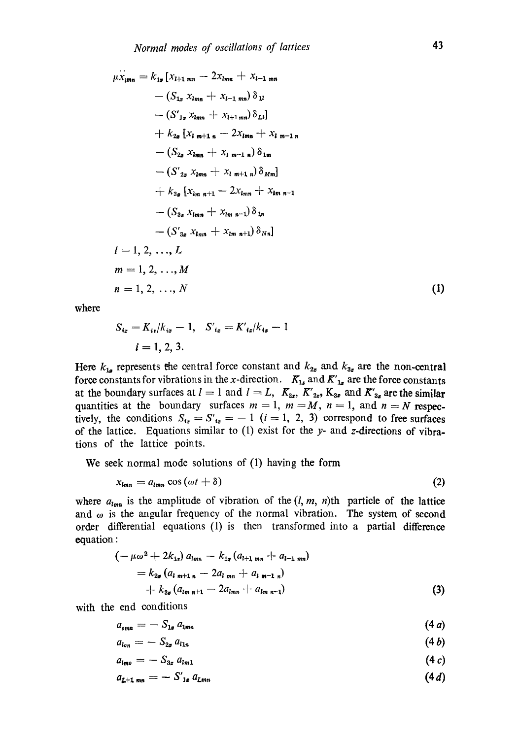$$
\mu \ddot{x}_{\mu m} = k_{1a} [x_{l+1 m n} - 2x_{l m n} + x_{l-1 m n} \n- (S_{1a} x_{l m n} + x_{l-1 m n}) \delta_{1l} \n- (S'_{1a} x_{l m n} + x_{l+1 m n}) \delta_{2l}] \n+ k_{2a} [x_{l m+1 n} - 2x_{l m n} + x_{l m-1 n} \n- (S_{2a} x_{l m n} + x_{l m-1 n}) \delta_{1m} \n- (S'_{2a} x_{l m n} + x_{l m+1 n}) \delta_{Mm}] \n+ k_{3a} [x_{l m n+1} - 2x_{l m n} + x_{l m n-1} \n- (S_{3a} x_{l m n} + x_{l m n-1}) \delta_{1n} \n- (S'_{3a} x_{l m n} + x_{l m n+1}) \delta_{Nn}] \n= 1, 2, ..., L \n m = 1, 2, ..., M \n n = 1, 2, ..., N
$$
\n(1)

where

$$
S_{i_{\mathbf{z}}} = K_{i_{\mathbf{z}}}/k_{i_{\mathbf{z}}} - 1, \quad S'_{i_{\mathbf{z}}} = K'_{i_{\mathbf{z}}}/k_{i_{\mathbf{z}}} - 1
$$
  
 $i = 1, 2, 3.$ 

Here  $k_{1a}$  represents the central force constant and  $k_{2a}$  and  $k_{3a}$  are the non-central force constants for vibrations in the x-direction.  $K_{1x}$  and  $K'_{1x}$  are the force constants at the boundary surfaces at  $l = 1$  and  $l = L$ ,  $K_{2z}$ ,  $K'_{2z}$ ,  $K_{3z}$  and  $K'_{3z}$  are the similar quantities at the boundary surfaces  $m = 1$ ,  $m = M$ ,  $n = 1$ , and  $n = N$  respectively, the conditions  $S_{i_2} = S'_{i_2} = -1$   $(i = 1, 2, 3)$  correspond to free surfaces of the lattice. Equations similar to  $(1)$  exist for the y- and z-directions of vibrations of the lattice points.

We seek normal mode solutions of (1) having the form

$$
x_{lmn} = a_{lmn} \cos(\omega t + \delta)
$$
 (2)

where  $a_{lmn}$  is the amplitude of vibration of the  $(l, m, n)$ th particle of the lattice and  $\omega$  is the angular frequency of the normal vibration. The system of second order differential equations (1) is then transformed into a partial difference equation :

$$
(-\mu\omega^{2} + 2k_{1x}) a_{lmn} - k_{1x} (a_{l+1,mn} + a_{l-1,mn})
$$
  
=  $k_{2x} (a_{l,m+1,n} - 2a_{l,mn} + a_{l,m-1,n})$   
+  $k_{3x} (a_{lm,n+1} - 2a_{lmn} + a_{lm,n-1})$  (3)

with the end conditions

$$
a_{\text{omn}} = -S_{1x} a_{1mn} \tag{4a}
$$

$$
a_{\iota_{0n}} = - S_{2n} a_{\iota_{1n}} \tag{4b}
$$

$$
a_{lmo} = -S_{3x} a_{lm1} \tag{4 c}
$$

$$
a_{L+1 \text{ mm}} = -S'_{1e} a_{Lmn} \tag{4.1}
$$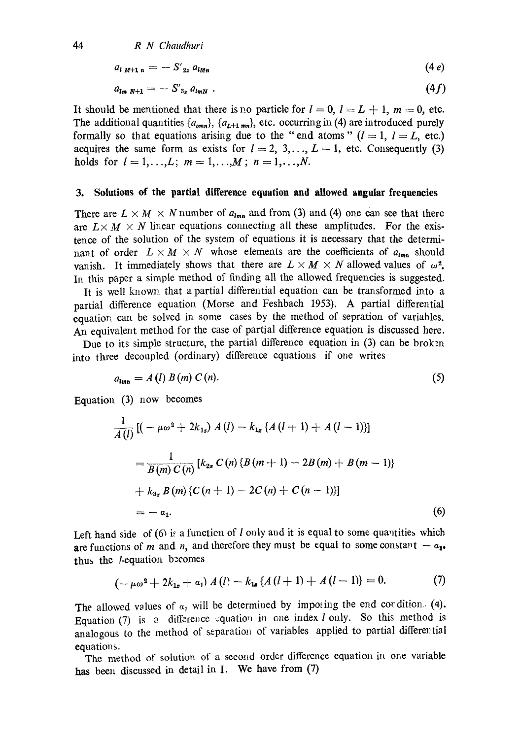44 *R N Chaudhuri* 

$$
a_{l}{}_{M+1\,n} = -S'{}_{2z}{}^{\prime} a_{lMn} \tag{4 e}
$$

$$
a_{lm\ N+1} = -S'_{3z} a_{lmN} \tag{4f}
$$

It should be mentioned that there is no particle for  $l = 0$ ,  $l = L + 1$ ,  $m = 0$ , etc. The additional quantities  $\{a_{omn}\}, \{a_{L+1,mn}\},$  etc. occurring in (4) are introduced purely formally so that equations arising due to the "end atoms"  $(l = 1, l = L,$  etc.) acquires the same form as exists for  $l = 2, 3, \ldots, L-1$ , etc. Consequently (3) holds for  $l = 1, ..., L; m = 1, ..., M; n = 1, ..., N$ .

#### **3. Solutions of the partial difference equation and allowed angular frequencies**

There are  $L \times M \times N$  number of  $a_{lmn}$  and from (3) and (4) one can see that there are  $L \times M \times N$  linear equations connecting all these amplitudes. For the existence of the solution of the system of equations it is necessary that the determinant of order  $L \times M \times N$  whose elements are the coefficients of  $a_{lmn}$  should vanish. It immediately shows that there are  $L \times M \times N$  allowed values of  $\omega^2$ . In this paper a simple method of finding all the allowed frequencies is suggested.

It is well known that a partial differential equation can be transformed into a partial difference equation (Morse and Feshbach 1953). A partial differential equation can be solved in some cases by the method of sepration of variables. An equivalent method for the case of partial difference equation is discussed here.

Due to its simple structure, the partial difference equation in  $(3)$  can be broken into three decoupled (ordinary) difference equations if one writes

$$
a_{lmn} = A(l) B(m) C(n). \tag{5}
$$

Equation (3) now becomes

$$
\frac{1}{A(l)}\left[(-\mu\omega^2 + 2k_{1z}) A(l) - k_{1z} \{A(l+1) + A(l-1)\}\right]
$$
\n
$$
= \frac{1}{B(m) C(n)}\left[k_{2z} C(n) \{B(m+1) - 2B(m) + B(m-1)\}\right]
$$
\n
$$
+ k_{3z} B(m) \{C(n+1) - 2C(n) + C(n-1)\}\right]
$$
\n
$$
= -a_1.
$$
\n(6)

Left hand side of  $(6)$  is a function of *l* only and it is equal to some quantities which are functions of m and n, and therefore they must be equal to some constant  $- a_{1}$ . thus the *l*-equation becomes

$$
(-\mu\omega^2 + 2k_{1\sigma} + a_1) A(l) - k_{1\sigma} \{A(l+1) + A(l-1)\} = 0. \tag{7}
$$

The allowed values of  $a_1$  will be determined by imposing the end condition. (4). Equation (7) is a difference equation in one index l only. So this method is analogous to the method of separation of variables applied to partial differertial equations.

The method of solution of a second order difference equation in one variable **has** been discussed in detail in I. We have from (7)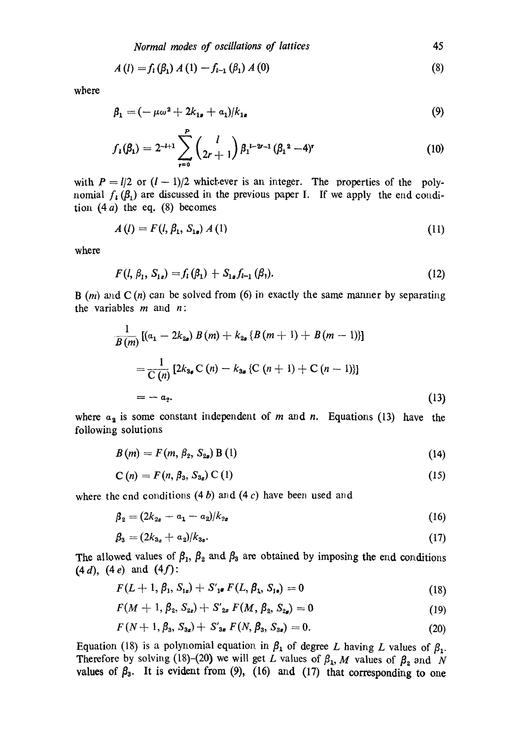$$
A(l) = f_1(\beta_1) A(l) - f_{l-1}(\beta_1) A(0)
$$
\n(8)

where

$$
\beta_1 = (-\mu \omega^2 + 2k_{1s} + a_1)/k_{1s} \tag{9}
$$

$$
f_{i}(\beta_{1}) = 2^{-l+1} \sum_{r=0}^{P} {l \choose 2r+1} \beta_{1}^{l-2r-1} (\beta_{1}^{2} - 4)^{r}
$$
 (10)

with  $P = I/2$  or  $(I - 1)/2$  whichever is an integer. The properties of the polynomial  $f_i(\beta_i)$  are discussed in the previous paper I. If we apply the end condition  $(4 a)$  the eq.  $(8)$  becomes

$$
A(l) = F(l, \beta_1, S_{1\bullet}) A(l) \tag{11}
$$

where

$$
F(l, \beta_1, S_{1s}) = f_1(\beta_1) + S_{1s} f_{l-1}(\beta_1). \tag{12}
$$

B  $(m)$  and C  $(n)$  can be solved from (6) in exactly the same manner by separating the variables  $m$  and  $n$ :

$$
\frac{1}{B(m)}\left[(a_1 - 2k_{2a}) B(m) + k_{2a} \{B(m+1) + B(m-1)\}\right]
$$
\n
$$
= \frac{1}{C(n)}\left[2k_{3a} C(n) - k_{3a} \{C(n+1) + C(n-1)\}\right]
$$
\n
$$
= -a_2.
$$
\n(13)

where  $a_2$  is some constant independent of m and n. Equations (13) have the following solutions

$$
B(m) = F(m, \beta_2, S_{2a}) B(1)
$$
 (14)

$$
C(n) = F(n, \beta_3, S_{3_2}) C(1)
$$
 (15)

where the end conditions  $(4 b)$  and  $(4 c)$  have been used and

$$
\beta_2 = (2k_{2x} - a_1 - a_2)/k_{2x} \tag{16}
$$

$$
\beta_3 = (2k_{3x} + a_2)/k_{3x}.\tag{17}
$$

 $(4 d), (4 e) \text{ and } (4 f):$ The allowed values of  $\beta_1$ ,  $\beta_2$  and  $\beta_3$  are obtained by imposing the end conditions

$$
F(L+1,\beta_1,S_{1a})+S_{1a}'F(L,\beta_1,S_{1a})=0
$$
\n(18)

$$
F(M + 1, \beta_2, S_{2z}) + S'_{2z} F(M, \beta_2, S_{2z}) = 0
$$
\n(19)

$$
F(N+1, \beta_3, S_{3a})+S'_{3a} F(N, \beta_3, S_{3a})=0. \qquad (20)
$$

Equation (18) is a polynomial equation in  $\beta_1$  of degree L having L values of  $\beta_1$ . Therefore by solving (18)-(20) we will get L values of  $\beta_1$ , M values of  $\beta_2$  and N values of  $\beta_3$ . It is evident from (9), (16) and (17) that corresponding to one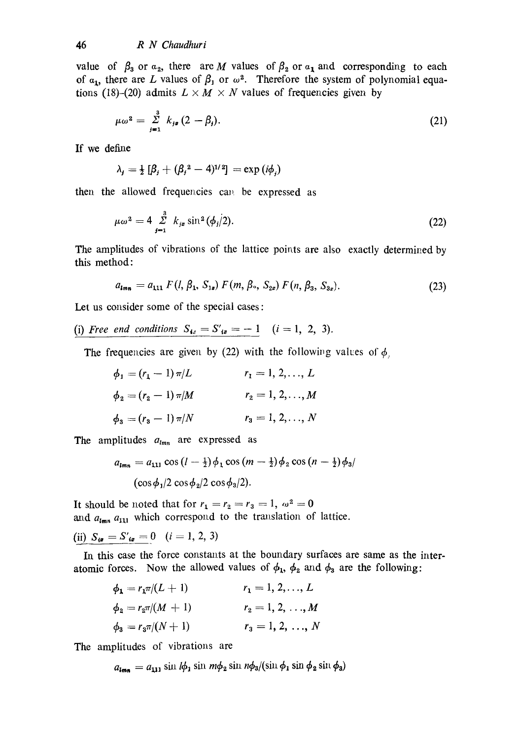value of  $\beta_3$  or  $\alpha_2$ , there are M values of  $\beta_2$  or  $\alpha_1$  and corresponding to each of  $a_1$ , there are L values of  $\beta_1$  or  $\omega^2$ . Therefore the system of polynomial equations (18)-(20) admits  $L \times M \times N$  values of frequencies given by

$$
\mu\omega^2 = \sum_{j=1}^3 k_{j\mathfrak{s}} (2 - \beta_j). \tag{21}
$$

If we define

$$
\lambda_j = \frac{1}{2} \left[ \beta_j + (\beta_j^2 - 4)^{1/2} \right] = \exp(i\phi_j)
$$

then the allowed frequencies can be expressed as

$$
\mu \omega^2 = 4 \sum_{j=1}^3 k_{j\alpha} \sin^2(\phi_j/2). \tag{22}
$$

The amplitudes of vibrations of the lattice points are also exactly determined by this method:

$$
a_{\mathbf{Imn}} = a_{111} F(l, \beta_1, S_{1a}) F(m, \beta_2, S_{2a}) F(n, \beta_3, S_{3a}). \tag{23}
$$

Let us consider some of the special cases :

(i) *Free end conditions*  $S_{i_0} = S'_{i_0} = -1$   $(i = 1, 2, 3)$ .

The frequencies are given by (22) with the following values of  $\phi$ .

$$
\phi_1 = (r_1 - 1) \pi / L \qquad \qquad r_1 = 1, 2, ..., L
$$
  
\n
$$
\phi_2 = (r_2 - 1) \pi / M \qquad \qquad r_2 = 1, 2, ..., M
$$
  
\n
$$
\phi_3 = (r_3 - 1) \pi / N \qquad \qquad r_3 = 1, 2, ..., N
$$

The amplitudes  $a_{lmn}$  are expressed as

$$
a_{lmn} = a_{111} \cos (l - \frac{1}{2}) \phi_1 \cos (m - \frac{1}{2}) \phi_2 \cos (n - \frac{1}{2}) \phi_3
$$
  
(cos  $\phi_1$ /2 cos  $\phi_2$ /2 cos  $\phi_3$ /2).

It should be noted that for  $r_1 = r_2 = r_3 = 1$ ,  $\omega^2 = 0$ and  $a_{lmn}$   $a_{111}$  which correspond to the translation of lattice.

(ii)  $S_{i\sigma} = S'_{i\sigma} = 0$   $(i = 1, 2, 3)$ 

In this case the force constants at the boundary surfaces are same as the interatomic forces. Now the allowed values of  $\phi_1$ ,  $\phi_2$  and  $\phi_3$  are the following:

$$
\phi_1 = r_1 \pi/(L+1) \qquad r_1 = 1, 2, ..., L
$$
  
\n
$$
\phi_2 = r_2 \pi/(M+1) \qquad r_2 = 1, 2, ..., M
$$
  
\n
$$
\phi_3 = r_3 \pi/(N+1) \qquad r_3 = 1, 2, ..., N
$$

The amplitudes of vibrations are

$$
a_{\mathbf{Im}\mathbf{n}} = a_{111} \sin l\phi_1 \sin m\phi_2 \sin n\phi_3 / (\sin \phi_1 \sin \phi_2 \sin \phi_3)
$$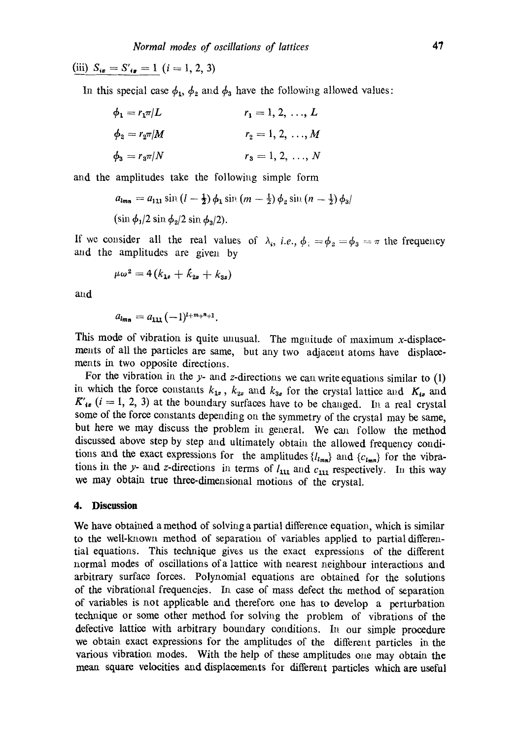(iii)  $S_{i\sigma} = S'_{i\sigma} = 1$   $(i = 1, 2, 3)$ 

In this special case  $\phi_1$ ,  $\phi_2$  and  $\phi_3$  have the following allowed values:

$$
\phi_1 = r_1 \pi / L \qquad \qquad r_1 = 1, 2, ..., L
$$
  
\n
$$
\phi_2 = r_2 \pi / M \qquad \qquad r_2 = 1, 2, ..., M
$$
  
\n
$$
\phi_3 = r_3 \pi / N \qquad \qquad r_3 = 1, 2, ..., N
$$

and the amplitudes take the following simple form

$$
a_{lmn} = a_{111} \sin (l - \frac{1}{2}) \phi_1 \sin (m - \frac{1}{2}) \phi_2 \sin (n - \frac{1}{2}) \phi_3
$$
  
(sin  $\phi_1/2$  sin  $\phi_2/2$  sin  $\phi_3/2$ ).

If we consider all the real values of  $\lambda_i$ , *i.e.*,  $\phi_i = \phi_2 = \phi_3 = \pi$  the frequency and the amplitudes are given by

$$
\mu\omega^2=4(k_{1\sigma}+k_{2\sigma}+k_{3\sigma})
$$

and

$$
a_{lmn} = a_{111} (-1)^{l+m+n+1}.
$$

This mode of vibration is quite unusual. The mguitude of maximum x-displacements of all the particles are same, but any two adjacent atoms have displacements in two opposite directions.

For the vibration in the  $y$ - and z-directions we can write equations similar to  $(1)$ in which the force constants  $k_{1x}$ ,  $k_{2x}$  and  $k_{3x}$  for the crystal lattice and  $K_{1x}$  and  $K'_{1\sigma}$  (i = 1, 2, 3) at the boundary surfaces have to be changed. In a real crystal some of the force constants depending on the symmetry of the crystal may be same, but here we may discuss the problem in general. We can follow the method discussed above step by step and ultimately obtain the allowed frequency conditions and the exact expressions for the amplitudes  ${l_l_{nm}}$  and  ${c_{l_{mn}}}$  for the vibrations in the y- and z-directions in terms of  $l_{111}$  and  $c_{111}$  respectively. In this way we may obtain true three-dimensional motions of the crystal.

### **4. Discussion**

We have obtained a method of solving a partial difference equation, which is similar to the well-known method of separation of variables applied to partial differential equations. This technique gives us the exact expressions of the different normal modes of oscillations of a lattice with nearest neighbour interactions and arbitrary surface forces. Polynomial equations are obtained for the solutions of the vibrational frequencies. In case of mass defect the method of separation of variables is not applicable and therefore one has to develop a perturbation technique or some other method for solving the problem of vibrations of the defective lattice with arbitrary boundary conditions. In our simple procedure we obtain exact expressions for the amplitudes of the different particles in the various vibration modes. With the help of these amplitudes one may obtain the mean square velocities and displacements for different particles which are useful